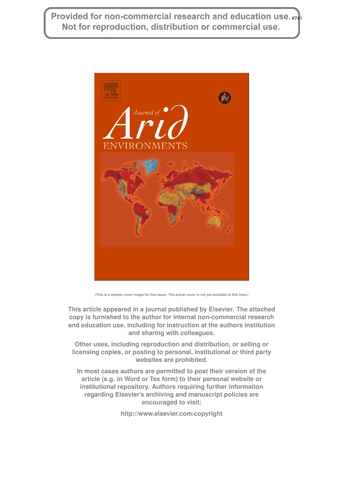Provided for non-commercial research and education use. Not for reproduction, distribution or commercial use.



**(This is a sample cover image for this issue. The actual cover is not yet available at this time.)**

**This article appeared in a journal published by Elsevier. The attached copy is furnished to the author for internal non-commercial research and education use, including for instruction at the authors institution and sharing with colleagues.**

**Other uses, including reproduction and distribution, or selling or licensing copies, or posting to personal, institutional or third party websites are prohibited.**

**In most cases authors are permitted to post their version of the article (e.g. in Word or Tex form) to their personal website or institutional repository. Authors requiring further information regarding Elsevier's archiving and manuscript policies are encouraged to visit:**

**<http://www.elsevier.com/copyright>**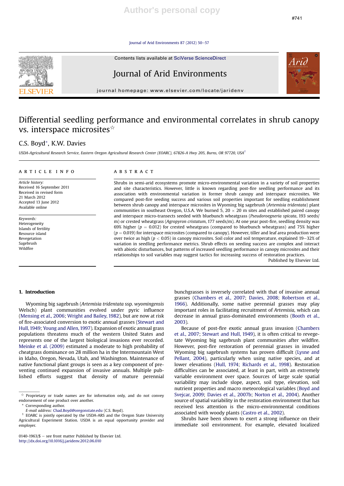Journal of Arid Environments 87 (2012) 50-57

Contents lists available at SciVerse ScienceDirect



Journal of Arid Environments



journal homepage: www.elsevier.com/locate/jaridenv

# Differential seedling performance and environmental correlates in shrub canopy vs. interspace microsites $\dot{\mathbb{r}}$

# C.S. Boyd\*, K.W. Davies

USDA-Agricultural Research Service, Eastern Oregon Agricultural Research Center (EOARC), 67826-A Hwy 205, Burns, OR 97720, USA<sup>1</sup>

#### article info

Article history: Received 16 September 2011 Received in revised form 21 March 2012 Accepted 13 June 2012 Available online

Keywords: Heterogeneity Islands of fertility Resource island Revegetation Sagebrush Wildfire

#### **ABSTRACT**

Shrubs in semi-arid ecosystems promote micro-environmental variation in a variety of soil properties and site characteristics. However, little is known regarding post-fire seedling performance and its association with environmental variation in former shrub canopy and interspace microsites. We compared post-fire seeding success and various soil properties important for seedling establishment between shrub canopy and interspace microsites in Wyoming big sagebrush (Artemisia tridentata) plant communities in southeast Oregon, U.S.A. We burned 5, 20  $\times$  20 m sites and established paired canopy and interspace micro-transects seeded with bluebunch wheatgrass (Pseudoroegneria spicata, 193 seeds/ m) or crested wheatgrass (Agropyron cristatum, 177 seeds/m). At one year post-fire, seedling density was 69% higher ( $p = 0.012$ ) for crested wheatgrass (compared to bluebunch wheatgrass) and 75% higher  $(p = 0.019)$  for interspace microsites (compared to canopy). However, tiller and leaf area production were over twice as high ( $p < 0.05$ ) in canopy microsites. Soil color and soil temperature, explained 19–32% of variation in seedling performance metrics. Shrub effects on seeding success are complex and interact with abiotic disturbances, but patterns of increased seedling performance in canopy microsites and their relationships to soil variables may suggest tactics for increasing success of restoration practices.

Published by Elsevier Ltd.

# 1. Introduction

Wyoming big sagebrush (Artemisia tridentata ssp. wyomingensis Welsch) plant communities evolved under pyric influence (Mensing et al., 2006; Wright and Bailey, 1982), but are now at risk of fire-associated conversion to exotic annual grasses (Stewart and Hull, 1949; Young and Allen, 1997). Expansion of exotic annual grass populations threatens much of the western United States and represents one of the largest biological invasions ever recorded. Meinke et al. (2009) estimated a moderate to high probability of cheatgrass dominance on 28 million ha in the Intermountain West in Idaho, Oregon, Nevada, Utah, and Washington. Maintenance of native functional plant groups is seen as a key component of preventing continued expansion of invasive annuals. Multiple published efforts suggest that density of mature perennial

0140-1963/\$  $-$  see front matter Published by Elsevier Ltd. http://dx.doi.org/10.1016/j.jaridenv.2012.06.010

bunchgrasses is inversely correlated with that of invasive annual grasses (Chambers et al., 2007; Davies, 2008; Robertson et al., 1966). Additionally, some native perennial grasses may play important roles in facilitating recruitment of Artemisia, which can decrease in annual grass-dominated environments (Booth et al., 2003).

Because of post-fire exotic annual grass invasion (Chambers et al., 2007; Stewart and Hull, 1949), it is often critical to revegetate Wyoming big sagebrush plant communities after wildfire. However, post-fire restoration of perennial grasses in invaded Wyoming big sagebrush systems has proven difficult (Lysne and Pellant, 2004), particularly when using native species, and at lower elevations (Hull, 1974; Richards et al., 1998). Restoration difficulties can be associated, at least in part, with an extremely variable environment over space. Sources of large scale spatial variability may include slope, aspect, soil type, elevation, soil nutrient properties and macro meteorological variables (Boyd and Svejcar, 2009; Davies et al., 2007b; Norton et al., 2004). Another source of spatial variability in the restoration environment that has received less attention is the micro-environmental conditions associated with woody plants (Castro et al., 2002).

Shrubs have been shown to exert a strong influence on their immediate soil environment. For example, elevated localized

 $\hat{X}$  Proprietary or trade names are for information only, and do not convey endorsement of one product over another.

Corresponding author.

E-mail address: Chad.Boyd@oregonstate.edu (C.S. Boyd).

<sup>&</sup>lt;sup>1</sup> EOARC is jointly operated by the USDA-ARS and the Oregon State University Agricultural Experiment Station. USDA is an equal opportunity provider and employer.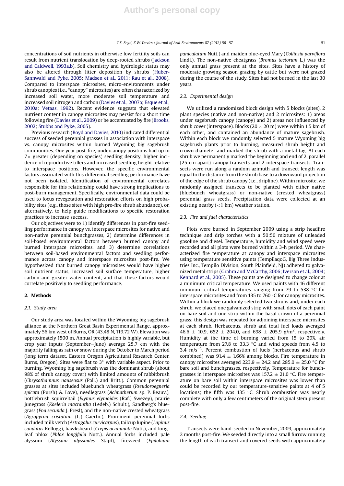concentrations of soil nutrients in otherwise low fertility soils can result from nutrient translocation by deep-rooted shrubs (Jackson and Caldwell, 1993a,b). Soil chemistry and hydrologic status may also be altered through litter deposition by shrubs (Huber-Sannwald and Pyke, 2005; Madsen et al., 2011; Rau et al., 2008). Compared to interspace microsites, micro-environments under shrub canopies (i.e., "canopy" microsites) are often characterized by increased soil water, more moderate soil temperature and increased soil nitrogen and carbon (Davies et al., 2007a; Esque et al., 2010a; Vetaas, 1992). Recent evidence suggests that elevated nutrient content in canopy microsites may persist for a short time following fire (Davies et al., 2009) or be accentuated by fire (Brooks, 2002; Stubbs and Pyke, 2005).

Previous research (Boyd and Davies, 2010) indicated differential success of seeded perennial grasses in association with interspace vs. canopy microsites within burned Wyoming big sagebrush communities. One year post-fire, undercanopy positions had up to  $7\times$  greater (depending on species) seedling density, higher incidence of reproductive tillers and increased seedling height relative to interspace positions. However, the specific environmental factors associated with this differential seedling performance have not been isolated. Identification of environmental correlates responsible for this relationship could have strong implications to post-burn management. Specifically, environmental data could be used to focus revegetation and restoration efforts on high probability sites (e.g., those sites with high pre-fire shrub abundance), or, alternatively, to help guide modifications to specific restoration practices to increase success.

Our objectives were to 1) identify differences in post-fire seedling performance in canopy vs. interspace microsites for native and non-native perennial bunchgrasses, 2) determine differences in soil-based environmental factors between burned canopy and burned interspace microsites, and 3) determine correlations between soil-based environmental factors and seedling performance across canopy and interspace microsites post-fire. We hypothesized that burned canopy microsites would have higher soil nutrient status, increased soil surface temperature, higher carbon and greater water content, and that these factors would correlate positively to seedling performance.

# 2. Methods

#### 2.1. Study area

Our study area was located within the Wyoming big sagebrush alliance at the Northern Great Basin Experimental Range, approximately 56 km west of Burns, OR (43.48 N, 119.72 W). Elevation was approximately 1500 m. Annual precipitation is highly variable, but crop year inputs (September-June) average 25.7 cm with the majority falling as rain or snow during the October to March period (long term dataset, Eastern Oregon Agricultural Research Center, Burns, Oregon). Sites were flat to  $3^\circ$  with variable aspect. Prior to burning, Wyoming big sagebrush was the dominant shrub (about 98% of shrub canopy cover) with limited amounts of rabbitbrush (Chrysothamnus nauseosus (Pall.) and Britt.). Common perennial grasses at sites included bluebunch wheatgrass (Pseudoroegneria spicata (Pursh) A. Love), needlegrass (Achnatherum sp. P. Beauv.), bottlebrush squirreltail (Elymus elymoides (Raf.) Swezey), prairie junegrass (Koeleria macrantha (Ledeb.) Schult.), Sandberg's bluegrass (Poa secunda J. Presl), and the non-native crested wheatgrass (Agropyron cristatum (L.) Gaertn.). Prominent perennial forbs included milk vetch (Astragalus curvicarpus), tailcup lupine (Lupinus caudatus Kellogg), hawksbeard (Crepis acuminate Nutt.), and longleaf phlox (Phlox longifolia Nutt.). Annual forbs included pale alyssum (Alyssum alyssoides Stapf), fireweed (Epilobium paniculatum Nutt.) and maiden blue-eyed Mary (Collinsia parviflora Lindl.). The non-native cheatgrass (Bromus tectorum L.) was the only annual grass present at the sites. Sites have a history of moderate growing season grazing by cattle but were not grazed during the course of the study. Sites had not burned in the last 30 years.

#### 2.2. Experimental design

We utilized a randomized block design with 5 blocks (sites), 2 plant species (native and non-native) and 2 microsites: 1) areas under sagebrush canopy (canopy) and 2) areas not influenced by shrub cover (interspace). Blocks (20  $\times$  20 m) were within 1.5 km of each other, and contained an abundance of mature sagebrush. Within each block we randomly selected 5 mature Wyoming big sagebrush plants prior to burning, measured shrub height and crown diameter and marked the shrub with a metal tag. At each shrub we permanently marked the beginning and end of 2, parallel (25 cm apart) canopy transects and 2 interspace transects. Transects were run along a random azimuth and transect length was equal to the distance from the shrub base to a downward projection of the edge of the shrub canopy (i.e., dripline). Within microsite, we randomly assigned transects to be planted with either native (bluebunch wheatgrass) or non-native (crested wheatgrass) perennial grass seeds. Precipitation data were collected at an existing nearby  $(<1$  km) weather station.

# 2.3. Fire and fuel characteristics

Plots were burned in September 2009 using a strip headfire technique and drip torches with a 50:50 mixture of unleaded gasoline and diesel. Temperature, humidity and wind speed were recorded and all plots were burned within a 3-h period. We characterized fire temperature at canopy and interspace microsites using temperature sensitive paints (TempilaqoG, Big Three Industries Inc., Tempilo Division, South Plainfield, NJ) adhered to galvanized metal strips (Grahm and McCarthy, 2006; Iverson et al., 2004; Kennard et al., 2005). These paints are designed to change color at a minimum critical temperature. We used paints with 16 different minimum critical temperatures ranging from 79 to 538  $\degree$ C for interspace microsites and from 135 to 760 $\degree$ C for canopy microsites. Within a block we randomly selected two shrubs and, under each shrub, we placed one galvanized strip with small dots of each paint on bare soil and one strip within the basal crown of a perennial grass; this design was repeated for adjoining interspace microsites at each shrub. Herbaceous, shrub and total fuel loads averaged  $46.6 \pm 10.9$ ,  $652 \pm 204.0$ , and  $698 \pm 205.9$  g/m<sup>2</sup>, respectively. Humidity at the time of burning varied from 15 to 29%, air temperature from 27.8 to 33.3  $\degree$ C and wind speeds from 4.5 to 3.4  $\text{m/s}^{-1}$ . Percent combustion of fuels (herbaceous and shrub combined) was  $91.4 \pm 1.66\%$  among blocks. Fire temperature in canopy microsites averaged 223.9  $\pm$  24.2 and 285.0  $\pm$  25.0 °C for bare soil and bunchgrasses, respectively. Temperature for bunchgrasses in interspace microsites was  $157.2 \pm 21.0$  °C. Fire temperature on bare soil within interspace microsites was lower than could be recorded by our temperature-sensitive paints at 4 of 5 locations; the fifth was 135  $\degree$ C. Shrub combustion was nearly complete with only a few centimeters of the original stem present post-fire.

# 2.4. Seeding

Transects were hand-seeded in November, 2009, approximately 2 months post-fire. We seeded directly into a small furrow running the length of each transect and covered seeds with approximately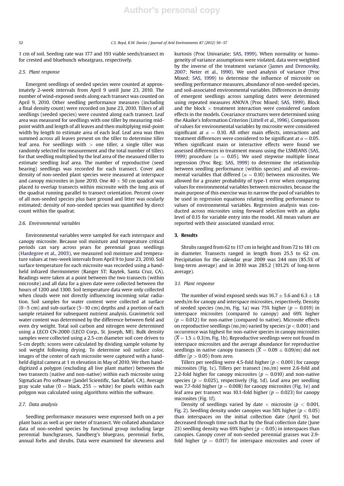1 cm of soil. Seeding rate was 177 and 193 viable seeds/transect m for crested and bluebunch wheatgrass, respectively.

#### 2.5. Plant response

Emergent seedlings of seeded species were counted at approximately 2-week intervals from April 9 until June 23, 2010. The number of wind-exposed seeds along each transect was counted on April 9, 2010. Other seedling performance measures (including a final density count) were recorded on June 23, 2010. Tillers of all seedlings (seeded species) were counted along each transect. Leaf area was measured for seedlings with one tiller by measuring midpoint width and length of all leaves and then multiplying mid-point width by length to estimate area of each leaf. Leaf area was then summed across all leaves present on the tiller to determine tiller leaf area. For seedlings with  $>$  one tiller, a single tiller was randomly selected for measurement and the total number of tillers for that seedling multiplied by the leaf area of the measured tiller to estimate seedling leaf area. The number of reproductive (seed bearing) seedlings was recorded for each transect. Cover and density of non-seeded plant species were measured at interspace and canopy microsites in June 2010. One  $40 \times 50$  cm quadrat was placed to overlap transects within microsite with the long axis of the quadrat running parallel to transect orientation. Percent cover of all non-seeded species plus bare ground and litter was ocularly estimated; density of non-seeded species was quantified by direct count within the quadrat.

# 2.6. Environmental variables

Environmental variables were sampled for each interspace and canopy microsite. Because soil moisture and temperature critical periods can vary across years for perennial grass seedlings (Hardegree et al., 2003), we measured soil moisture and temperature values at two-week intervals from April 9 to June 23, 2010. Soil surface temperature for each microsite was recorded using a handheld infrared thermometer (Ranger ST; Raytek, Santa Cruz, CA). Readings were taken at a point between the two transects (within microsite) and all data for a given date were collected between the hours of 1200 and 1300. Soil temperature data were only collected when clouds were not directly influencing incoming solar radiation. Soil samples for water content were collected at surface  $(0-5 \text{ cm})$  and sub-surface  $(5-10 \text{ cm})$  depths and a portion of each sample retained for subsequent nutrient analysis. Gravimetric soil water content was determined by the difference between field and oven dry weight. Total soil carbon and nitrogen were determined using a LECO CN-2000 (LECO Corp., St. Joseph, MI). Bulk density samples were collected using a 2.5-cm diameter soil core driven to 5-cm depth; scores were calculated by dividing sample volume by soil weight following drying. To determine soil surface color, images of the center of each microsite were captured with a handheld digital camera at 1 m elevation in May of 2010. We then handdigitized a polygon (excluding all live plant matter) between the two transects (native and non-native) within each microsite using SigmaScan Pro software (Jandel Scientific, San Rafael, CA). Average gray scale value ( $0 =$  black, 255  $=$  white) for pixels within each polygon was calculated using algorithms within the software.

### 2.7. Data analysis

Seedling performance measures were expressed both on a per plant basis as well as per meter of transect. We collated abundance data of non-seeded species by functional group including large perennial bunchgrasses, Sandberg's bluegrass, perennial forbs, annual forbs and shrubs. Data were examined for skewness and kurtosis (Proc Univariate; SAS, 1999). When normality or homogeneity of variance assumptions were violated, data were weighted by the inverse of the treatment variance (James and Drenovsky, 2007; Neter et al., 1990). We used analysis of variance (Proc Mixed; SAS, 1999) to determine the influence of microsite on seedling performance measures, abundance of non-seeded species, and soil-associated environmental variables. Differences in density of emergent seedlings across sampling dates were determined using repeated measures ANOVA (Proc Mixed; SAS, 1999). Block and the block  $\times$  treatment interaction were considered random effects in the models. Covariance structures were determined using the Akaike's Information Criterion (Littell et al., 1996). Comparisons of values for environmental variables by microsite were considered significant at  $\alpha = 0.10$ . All other main effects, interactions and treatment differences were considered to be significant at  $\alpha = 0.05$ . When significant main or interactive effects were found we assessed differences in treatment means using the LSMEANS (SAS, 1999) procedure ( $\alpha = 0.05$ ). We used stepwise multiple linear regression (Proc Reg; SAS, 1999) to determine the relationship between seedling performance (within species) and all environmental variables that differed ( $\alpha = 0.10$ ) between microsites. We allowed for a greater probability of type-1 error when comparing values for environmental variables between microsites, because the main purpose of this exercise was to narrow the pool of variables to be used in regression equations relating seedling performance to values of environmental variables. Regression analysis was conducted across microsites using forward selection with an alpha level of 0.15 for variable entry into the model. All mean values are reported with their associated standard error.

### 3. Results

Shrubs ranged from 62 to 117 cm in height and from 72 to 181 cm in diameter. Transects ranged in length from 25.5 to 62 cm. Precipitation for the calendar year 2009 was 244 mm (85.5% of long-term average) and in 2010 was 285.2 (101.2% of long-term average).

#### 3.1. Plant response

The number of wind exposed seeds was  $16.7 \pm 5.6$  and  $6.3 \pm 1.8$ seeds/m for canopy and interspace microsites, respectively. Density of seeded species (no./m, Fig. 1a) was 75% higher ( $p = 0.019$ ) in interspace microsites (compared to canopy) and 69% higher  $(p = 0.012)$  for non-native (compared to native). Microsite effects on reproductive seedlings (no./m) varied by species ( $p < 0.001$ ) and occurrence was highest for non-native species in canopy microsites  $(\overline{X} = 1.5 \pm 0.3/m$ , Fig. 1b). Reproductive seedlings were not found in interspace microsites and the average abundance for reproductive seedlings in native canopy transects ( $\overline{X} = 0.09 \pm 0.09/m$ ) did not differ ( $p > 0.05$ ) from zero.

Tillers per seedling were 4.5-fold higher ( $p < 0.001$ ) for canopy microsites (Fig. 1c). Tillers per transect (no./m) were 2.6-fold and 2.2-fold higher for canopy microsites ( $p = 0.010$ ) and non-native species ( $p = 0.025$ ), respectively (Fig. 1d). Leaf area per seedling was 7.7-fold higher ( $p = 0.008$ ) for canopy microsites (Fig. 1e) and leaf area per transect was 10.1-fold higher ( $p = 0.023$ ) for canopy microsites (Fig. 1f).

Density of seedlings varied by date  $\times$  microsite ( $p < 0.001$ , Fig. 2). Seedling density under canopies was 50% higher ( $p < 0.05$ ) than interspaces on the initial collection date (April 9), but decreased through time such that by the final collection date (June 23) seedling density was 69% higher ( $p < 0.05$ ) in interspaces than canopies. Canopy cover of non-seeded perennial grasses was 2.9 fold higher ( $p = 0.017$ ) for interspace microsites and cover of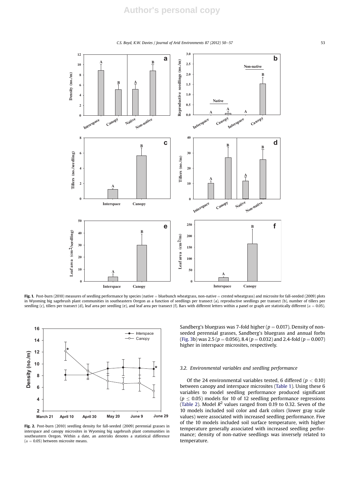$CS.$  Boyd, K.W. Davies / Journal of Arid Environments 87 (2012) 50–57



Fig. 1. Post-burn (2010) measures of seedling performance by species (native = bluebunch wheatgrass, non-native = crested wheatgrass) and microsite for fall-seeded (2009) plots in Wyoming big sagebrush plant communities in southeastern Oregon as a function of seedlings per transect (a), reproductive seedlings per transect (b), number of tillers per seedling (c), tillers per transect (d), leaf area per seedling (e), and leaf area per transect (f). Bars with different letters within a panel or graph are statistically different ( $\alpha = 0.05$ ).



Fig. 2. Post-burn (2010) seedling density for fall-seeded (2009) perennial grasses in interspace and canopy microsites in Wyoming big sagebrush plant communities in southeastern Oregon. Within a date, an asterisks denotes a statistical difference ( $\alpha$  = 0.05) between microsite means.

Sandberg's bluegrass was 7-fold higher ( $p = 0.017$ ). Density of nonseeded perennial grasses, Sandberg's bluegrass and annual forbs (Fig. 3b) was 2.5 ( $p = 0.056$ ), 8.4 ( $p = 0.032$ ) and 2.4-fold ( $p = 0.007$ ) higher in interspace microsites, respectively.

# 3.2. Environmental variables and seedling performance

Of the 24 environmental variables tested, 6 differed ( $p < 0.10$ ) between canopy and interspace microsites (Table 1). Using these 6 variables to model seedling performance produced significant ( $p \leq 0.05$ ) models for 10 of 12 seedling performance regressions (Table 2). Model  $R^2$  values ranged from 0.19 to 0.32. Seven of the 10 models included soil color and dark colors (lower gray scale values) were associated with increased seedling performance. Five of the 10 models included soil surface temperature, with higher temperature generally associated with increased seedling performance; density of non-native seedlings was inversely related to temperature.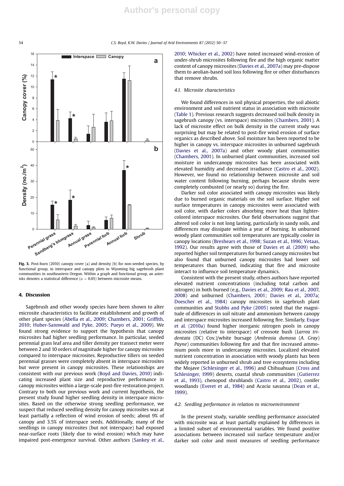54 C.S. Boyd, K.W. Davies / Journal of Arid Environments 87 (2012) 50-57



Fig. 3. Post-burn (2010) canopy cover (a) and density (b) for non-seeded species, by functional group, in interspace and canopy plots in Wyoming big sagebrush plant communities in southeastern Oregon. Within a graph and functional group, an asterisks denotes a statistical difference ( $\alpha = 0.05$ ) between microsite means.

# 4. Discussion

Sagebrush and other woody species have been shown to alter microsite characteristics to facilitate establishment and growth of other plant species (Abella et al., 2009; Chambers, 2001; Griffith, 2010; Huber-Sannwald and Pyke, 2005; Pueyo et al., 2009). We found strong evidence to support the hypothesis that canopy microsites had higher seedling performance. In particular, seeded perennial grass leaf area and tiller density per transect meter were between 2 and 10 orders of magnitude higher for canopy microsites compared to interspace microsites. Reproductive tillers on seeded perennial grasses were completely absent in interspace microsites but were present in canopy microsites. These relationships are consistent with our previous work (Boyd and Davies, 2010) indicating increased plant size and reproductive performance in canopy microsites within a large-scale post-fire restoration project. Contrary to both our previous work and current hypothesis, the present study found higher seedling density in interspace microsites. Based on the otherwise strong seedling performance, we suspect that reduced seedling density for canopy microsites was at least partially a reflection of wind erosion of seeds; about 9% of canopy and 3.5% of interspace seeds. Additionally, many of the seedlings in canopy microsites (but not interspace) had exposed near-surface roots (likely due to wind erosion) which may have impaired post-emergence survival. Other authors (Sankey et al., 2010; Whicker et al., 2002) have noted increased wind-erosion of under-shrub microsites following fire and the high organic matter content of canopy microsites (Davies et al., 2007a) may pre-dispose them to aeolian-based soil loss following fire or other disturbances that remove shrubs.

#### 4.1. Microsite characteristics

We found differences in soil physical properties, the soil abiotic environment and soil nutrient status in association with microsite (Table 1). Previous research suggests decreased soil bulk density in sagebrush canopy (vs. interspace) microsites (Chambers, 2001). A lack of microsite effect on bulk density in the current study was surprising but may be related to post-fire wind erosion of surface organics as described above. Soil moisture has been reported to be higher in canopy vs. interspace microsites in unburned sagebrush (Davies et al., 2007a) and other woody plant communities (Chambers, 2001). In unburned plant communities, increased soil moisture in undercanopy microsites has been associated with elevated humidity and decreased irradiance (Castro et al., 2002). However, we found no relationship between microsite and soil water content following burning, perhaps because shrubs were completely combusted (or nearly so) during the fire.

Darker soil color associated with canopy microsites was likely due to burned organic materials on the soil surface. Higher soil surface temperatures in canopy microsites were associated with soil color, with darker colors absorbing more heat than lightercolored interspace microsites. Our field observations suggest that altered soil color is not long lasting, particularly in sandy soils, and differences may dissipate within a year of burning. In unburned woody plant communities soil temperatures are typically cooler in canopy locations (Breshears et al., 1998; Suzan et al., 1996; Vetaas, 1992). Our results agree with those of Davies et al. (2009) who reported higher soil temperatures for burned canopy microsites but also found that unburned canopy microsites had lower soil temperatures than burned, indicating that fire and microsite interact to influence soil temperature dynamics.

Consistent with the present study, others authors have reported elevated nutrient concentrations (including total carbon and nitrogen) in both burned (e.g., Davies et al., 2009; Rau et al., 2007, 2008) and unburned (Chambers, 2001; Davies et al., 2007a; Doescher et al., 1984) canopy microsites in sagebrush plant communities and Stubbs and Pyke (2005) noted that the magnitude of differences in soil nitrate and ammonium between canopy and interspace microsites increased following fire. Similarly, Esque et al. (2010a) found higher inorganic nitrogen pools in canopy microsites (relative to interspace) of creosote bush (Larrea tridentata (DC) Cov.)/white bursage (Ambrosia dumosa (A. Gray) Payne) communities following fire and that fire increased ammonium pools more in undercanopy microsites. Localized elevated nutrient concentration in association with woody plants has been widely reported in unburned shrub and tree ecosystems including the Mojave (Schlesinger et al., 1996) and Chihuahuan (Cross and Schlesinger, 1999) deserts, coastal shrub communities (Gutierrez et al., 1993), chenopod shrublands (Castro et al., 2002), conifer woodlands (Everet et al., 1984) and Acacia savanna (Dean et al., 1999).

#### 4.2. Seedling performance in relation to microenvironment

In the present study, variable seedling performance associated with microsite was at least partially explained by differences in a limited subset of environmental variables. We found positive associations between increased soil surface temperature and/or darker soil color and most measures of seedling performance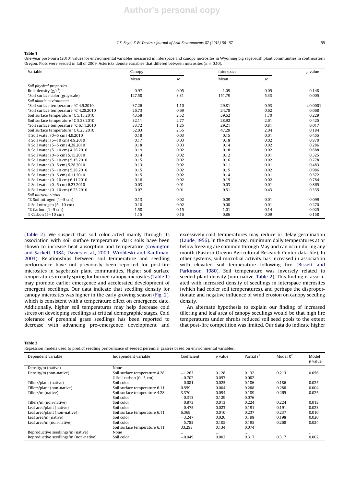#### $CS.$  Boyd, K.W. Davies / Journal of Arid Environments 87 (2012) 50-57

### Table 1

One-year post-burn (2010) values for environmental variables measured in interspace and canopy microsites in Wyoming big sagebrush plant communities in southeastern Oregon. Plots were seeded in fall of 2009. Asterisks denote variables that differed between microsites ( $\alpha = 0.10$ ).

| Variable                               | Canopy |      | Interspace |      | p value  |  |
|----------------------------------------|--------|------|------------|------|----------|--|
|                                        | Mean   | se   | Mean       | se   |          |  |
| Soil physical properties               |        |      |            |      |          |  |
| Bulk density $(g/c^3)$                 | 0.97   | 0.05 | 1.09       | 0.05 | 0.148    |  |
| *Soil surface color (grayscale)        | 127.58 | 3.31 | 151.79     | 5.33 | 0.005    |  |
| Soil abiotic environment               |        |      |            |      |          |  |
| *Soil surface temperature °C 4.9.2010  | 37.26  | 1.10 | 29.81      | 0.93 | < 0.0001 |  |
| *Soil surface temperature °C 4.28.2010 | 26.73  | 0.69 | 24.78      | 0.62 | 0.068    |  |
| Soil surface temperature °C 5.15.2010  | 43.58  | 2.52 | 39.62      | 1.70 | 0.229    |  |
| Soil surface temperature °C 5.28.2010  | 32.11  | 2.77 | 28.92      | 2.61 | 0.425    |  |
| *Soil surface temperature °C 6.11.2010 | 33.72  | 1.25 | 29.21      | 0.81 | 0.017    |  |
| Soil surface temperature °C 6.23.2010  | 52.03  | 2.55 | 47.29      | 2.04 | 0.184    |  |
| % Soil water (0-5 cm) 4.9.2010         | 0.18   | 0.03 | 0.15       | 0.01 | 0.455    |  |
| % Soil water (5-10 cm) 4.9.2010        | 0.17   | 0.03 | 0.18       | 0.02 | 0.870    |  |
| % Soil water (5-5 cm) 4.28.2010        | 0.18   | 0.03 | 0.14       | 0.02 | 0.286    |  |
| % Soil water (5-10 cm) 4.28.2010       | 0.19   | 0.02 | 0.18       | 0.02 | 0.888    |  |
| % Soil water (0-5 cm) 5.15.2010        | 0.14   | 0.02 | 0.12       | 0.01 | 0.325    |  |
| % Soil water (5-10 cm) 5.15.2010       | 0.15   | 0.02 | 0.16       | 0.02 | 0.778    |  |
| % Soil water (0-5 cm) 5.28.2010        | 0.13   | 0.02 | 0.11       | 0.01 | 0.483    |  |
| % Soil water (5-10 cm) 5.28.2010       | 0.15   | 0.02 | 0.15       | 0.02 | 0.986    |  |
| % Soil water (0-5 cm) 6.11.2010        | 0.15   | 0.02 | 0.14       | 0.01 | 0.572    |  |
| % Soil water (0-10 cm) 6.11.2010       | 0.16   | 0.02 | 0.15       | 0.02 | 0.784    |  |
| % Soil water (0-5 cm) 6.23.2010        | 0.03   | 0.01 | 0.03       | 0.01 | 0.865    |  |
| % Soil water (0-10 cm) 6.23.2010       | 0.07   | 0.01 | 0.51       | 0.43 | 0.335    |  |
| Soil nutrient status                   |        |      |            |      |          |  |
| *% Soil nitrogen (1–5 cm)              | 0.13   | 0.02 | 0.09       | 0.01 | 0.099    |  |
| % Soil nitrogen (5-10 cm)              | 0.10   | 0.02 | 0.08       | 0.01 | 0.270    |  |
| $\%$ Carbon $(1-5$ cm)                 | 1.58   | 0.15 | 1.01       | 0.14 | 0.025    |  |
| % Carbon (5-10 cm)                     | 1.15   | 0.16 | 0.86       | 0.09 | 0.158    |  |

(Table 2). We suspect that soil color acted mainly through its association with soil surface temperature; dark soils have been shown to increase heat absorption and temperature (Covington and Sackett, 1984; Davies et al., 2009; Wrobleski and Kauffman, 2003). Relationships between soil temperature and seedling performance have not previously been reported for post-fire microsites in sagebrush plant communities. Higher soil surface temperatures in early spring for burned canopy microsites (Table 1) may promote earlier emergence and accelerated development of emergent seedlings. Our data indicate that seedling density for canopy microsites was higher in the early growing season (Fig. 2), which is consistent with a temperature effect on emergence date. Additionally, higher soil temperatures may help decrease cold stress on developing seedlings at critical demographic stages. Cold tolerance of perennial grass seedlings has been reported to decrease with advancing pre-emergence development and

excessively cold temperatures may reduce or delay germination (Laude, 1956). In the study area, minimum daily temperatures at or below freezing are common through May and can occur during any month (Eastern Oregon Agricultural Research Center data file). In other systems, soil microbial activity has increased in association with elevated soil temperature following fire (Bissett and Parkinson, 1980). Soil temperature was inversely related to seeded plant density (non-native, Table 2). This finding is associated with increased density of seedlings in interspace microsites (which had cooler soil temperatures), and perhaps the disproportionate and negative influence of wind erosion on canopy seedling density.

An alternate hypothesis to explain our finding of increased tillering and leaf area of canopy seedlings would be that high fire temperatures under shrubs reduced soil seed pools to the extent that post-fire competition was limited. Our data do indicate higher

#### Table 2

Regression models used to predict seedling performance of seeded perennial grasses based on environmental variables.

| Dependent variable                    | Independent variable          | Coefficient | <i>p</i> value | Partial $r^2$ | Model $R^2$ | Model<br><i>p</i> value |
|---------------------------------------|-------------------------------|-------------|----------------|---------------|-------------|-------------------------|
| Density/m (native)                    | None                          | $\cdots$    | $\cdots$       | $\cdots$      |             | $\cdots$                |
| Density/m (non-native)                | Soil surface temperature 4.28 | $-1.263$    | 0.128          | 0.132         | 0.213       | 0.056                   |
|                                       | % Soil carbon (0–5 cm)        | $-0.702$    | 0.057          | 0.082         |             |                         |
| Tillers/plant (native)                | Soil color                    | $-0.081$    | 0.025          | 0.186         | 0.186       | 0.025                   |
| Tillers/plant (non-native)            | Soil surface temperature 6.11 | 0.559       | 0.004          | 0.288         | 0.288       | 0.004                   |
| Tillers/m (native)                    | Soil surface temperature 4.28 | 3.370       | 0.094          | 0.189         | 0.265       | 0.025                   |
|                                       | Soil color                    | $-0.313$    | 0.129          | 0.076         |             |                         |
| Tillers/m (non-native)                | Soil color                    | $-0.873$    | 0.013          | 0.224         | 0.224       | 0.013                   |
| Leaf area/plant (native)              | Soil color                    | $-0.475$    | 0.023          | 0.191         | 0.191       | 0.023                   |
| Leaf area/plant (non-native)          | Soil surface temperature 6.11 | 6.369       | 0.010          | 0.237         | 0.237       | 0.010                   |
| Leaf area/m (native)                  | Soil color                    | $-3.247$    | 0.020          | 0.198         | 0.198       | 0.020                   |
| Leaf area/m (non-native)              | Soil color                    | $-5.783$    | 0.105          | 0.195         | 0.268       | 0.024                   |
|                                       | Soil surface temperature 6.11 | 33.298      | 0.134          | 0.074         |             |                         |
| Reproductive seedlings/m (native)     | None                          | $\cdots$    | $\cdots$       | $\cdots$      |             | $\cdots$                |
| Reproductive seedlings/m (non-native) | Soil color                    | $-0.049$    | 0.002          | 0.317         | 0.317       | 0.002                   |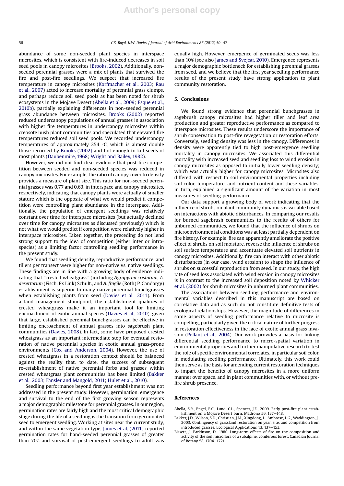abundance of some non-seeded plant species in interspace microsites, which is consistent with fire-induced decreases in soil seed pools in canopy microsites (Brooks, 2002). Additionally, nonseeded perennial grasses were a mix of plants that survived the fire and post-fire seedlings. We suspect that increased fire temperature in canopy microsites (Korfmacher et al., 2003; Rau et al., 2007) acted to increase mortality of perennial grass clumps, and perhaps reduce soil seed pools as has been noted for shrub ecosystems in the Mojave Desert (Abella et al., 2009; Esque et al., 2010b), partially explaining differences in non-seeded perennial grass abundance between microsites. Brooks (2002) reported reduced undercanopy populations of annual grasses in association with higher fire temperatures in undercanopy microsites within creosote bush plant communities and speculated that elevated fire temperatures reduced soil seed pools. We recorded undercanopy temperatures of approximately 254  $\degree$ C, which is almost double those recorded by Brooks (2002) and hot enough to kill seeds of most plants (Daubenmire, 1968; Wright and Bailey, 1982).

However, we did not find clear evidence that post-fire competition between seeded and non-seeded species was reduced in canopy microsites. For example, the ratio of canopy cover to density provides a measure of plant size. This ratio for non-seeded perennial grasses was 0.77 and 0.63, in interspace and canopy microsites, respectively, indicating that canopy plants were actually of smaller stature which is the opposite of what we would predict if competition were controlling plant abundance in the interspace. Additionally, the population of emergent seedlings was relatively constant over time for interspace microsites (but actually declined over time for canopy microsites as discussed previously) which is not what we would predict if competition were relatively higher in interspace microsites. Taken together, the preceding do not lend strong support to the idea of competition (either inter or intraspecies) as a limiting factor controlling seedling performance in the present study.

We found that seedling density, reproductive performance, and tillers per transect were higher for non-native vs. native seedlings. These findings are in line with a growing body of evidence indicating that "crested wheatgrass" (including Agropyron cristatum, A. desertorum (Fisch. Ex Link) Schult., and A. fragile (Roth) P. Candargy) establishment is superior to many native perennial bunchgrasses when establishing plants from seed (Davies et al., 2011). From a land management standpoint, the establishment qualities of crested wheatgrass make it an important tool for limiting encroachment of exotic annual species (Davies et al., 2010), given that large, established perennial bunchgrasses can be effective in limiting encroachment of annual grasses into sagebrush plant communities (Davies, 2008). In fact, some have proposed crested wheatgrass as an important intermediate step for eventual restoration of native perennial species in exotic annual grass-prone environments (Cox and Anderson, 2004). However, the use of crested wheatgrass in a restoration context should be balanced against the reality that, to date, the success of subsequent re-establishment of native perennial forbs and grasses within crested wheatgrass plant communities has been limited (Bakker et al., 2003; Fansler and Mangold, 2011; Hulet et al., 2010).

Seedling performance beyond first year establishment was not addressed in the present study. However, germination, emergence and survival to the end of the first growing season represents a major demographic milestone for perennial grasses. In our region, germination rates are fairly high and the most critical demographic stage during the life of a seedling is the transition from germinated seed to emergent seedling. Working at sites near the current study, and within the same vegetation type, James et al. (2011) reported germination rates for hand-seeded perennial grasses of greater than 70% and survival of post-emergent seedlings to adult was equally high. However, emergence of germinated seeds was less than 10% (see also James and Svejcar, 2010). Emergence represents a major demographic bottleneck for establishing perennial grasses from seed, and we believe that the first year seedling performance results of the present study have strong application to plant community restoration.

# 5. Conclusions

We found strong evidence that perennial bunchgrasses in sagebrush canopy microsites had higher tiller and leaf area production and greater reproductive performance as compared to interspace microsites. These results underscore the importance of shrub conservation to post-fire revegetation or restoration efforts. Conversely, seedling density was less in the canopy. Differences in density were apparently tied to high post-emergence seedling mortality in canopy microsites. We associated this differential mortality with increased seed and seedling loss to wind erosion in canopy microsites as opposed to initially lower seedling density; which was actually higher for canopy microsites. Microsites also differed with respect to soil environmental properties including soil color, temperature, and nutrient content and these variables, in turn, explained a significant amount of the variation in most measures of seedling performance.

Our data support a growing body of work indicating that the influence of shrubs on plant community dynamics is variable based on interactions with abiotic disturbances. In comparing our results for burned sagebrush communities to the results of others for unburned communities, we found that the influence of shrubs on microenvironmental conditions was at least partially dependent on fire history. For example, fire can apparently ameliorate the positive effect of shrubs on soil moisture, reverse the influence of shrubs on soil surface temperature and accentuate elevated soil nutrients in canopy microsites. Additionally, fire can interact with other abiotic disturbances (in our case, wind erosion) to shape the influence of shrubs on successful reproduction from seed. In our study, the high rate of seed loss associated with wind erosion in canopy microsites is in contrast to the increased soil deposition noted by Whicker et al. (2002) for shrub microsites in unburned plant communities.

The associations between seedling performance and environmental variables described in this manuscript are based on correlative data and as such do not constitute definitive tests of ecological relationships. However, the magnitude of differences in some aspects of seedling performance relative to microsite is compelling, particularly given the critical nature of further progress in restoration effectiveness in the face of exotic annual grass invasion (Pellant et al., 2004). Our work provides a basis for linking differential seedling performance to micro-spatial variation in environmental properties and further manipulative research to test the role of specific environmental correlates, in particular soil color, in modulating seedling performance. Ultimately, this work could then serve as the basis for amending current restoration techniques to impart the benefits of canopy microsites in a more uniform manner over space, and in plant communities with, or without prefire shrub presence.

#### References

- Abella, S.R., Engel, E.C., Lund, C.L., Spencer, J.E., 2009. Early post-fire plant establishment on a Mojave Desert burn. Madrono 56, 137-148.
- Bakker, J.D., Wilson, S.D., Christian, J.M., Xingdong, L., Ambrose, L.G., Waddington, J., 2003. Contingency of grassland restoration on year, site, and competition from introduced grasses. Ecological Applications 13, 137-153.
- Bissett, J., Parkinson, D., 1980. Long-term effects of fire on the composition and activity of the soil microflora of a subalpine, coniferous forest. Canadian Journal of Botany 58, 1704-1721.